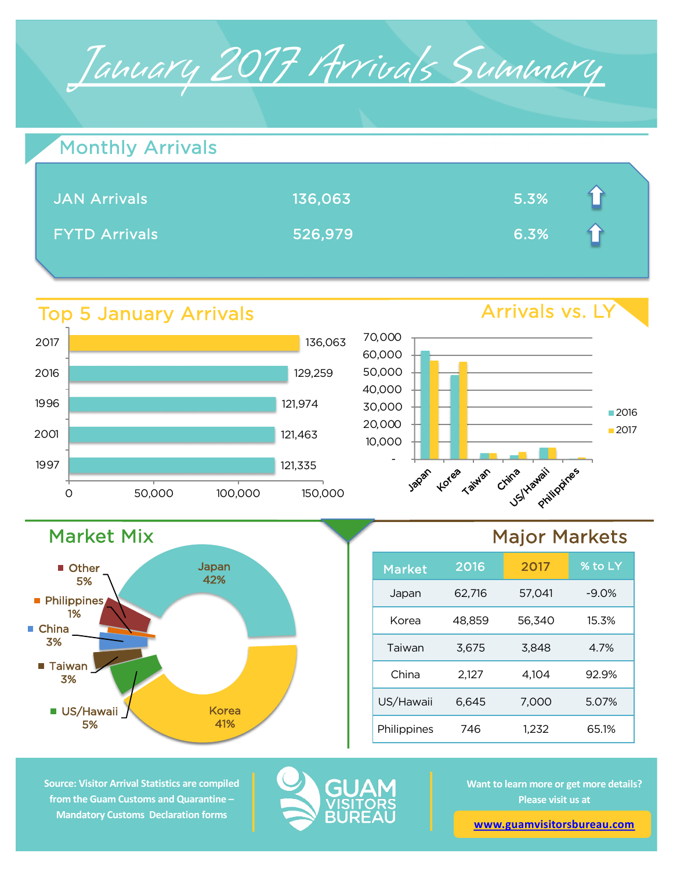

| <b>Monthly Arrivals</b> |         |      |  |
|-------------------------|---------|------|--|
| <b>JAN Arrivals</b>     | 136,063 | 5.3% |  |
| <b>FYTD Arrivals</b>    | 526,979 | 6.3% |  |

## Top 5 January Arrivals

Market Mix

US/Hawaii 5%

 $\blacksquare$  Taiwan 3%

**Philippines** 1%

Other 5%

■ China 3%



Japan 42%

> Korea 41%





## Major Markets

| <b>Market</b> | 2016   | 2017   | % to LY |
|---------------|--------|--------|---------|
| Japan         | 62,716 | 57,041 | $-9.0%$ |
| Korea         | 48,859 | 56,340 | 15.3%   |
| Taiwan        | 3,675  | 3,848  | 4.7%    |
| China         | 2,127  | 4,104  | 92.9%   |
| US/Hawaii     | 6,645  | 7,000  | 5.07%   |
| Philippines   | 746    | 1.232  | 65.1%   |

**Source: Visitor Arrival Statistics are compiled from the Guam Customs and Quarantine – Mandatory Customs Declaration forms** 



**Want to learn more or get more details? Please visit us at** 

**www.guamvisitorsbureau.com**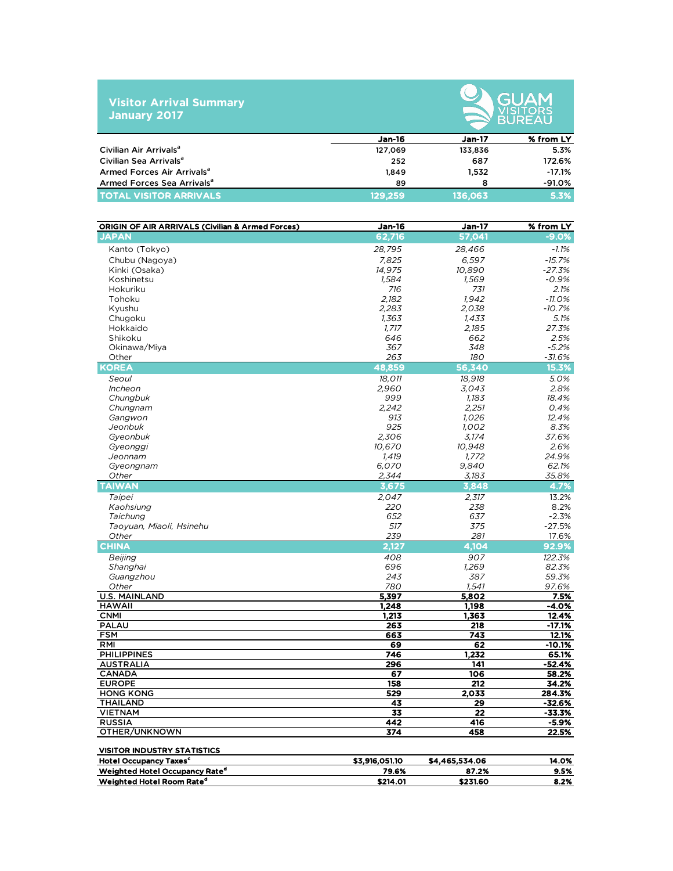## **Visitor Arrival Summary January 2017**



|                                        | <b>Jan-16</b> | Jan-17  | % from LY |
|----------------------------------------|---------------|---------|-----------|
| Civilian Air Arrivals <sup>a</sup>     | 127,069       | 133,836 | 5.3%      |
| Civilian Sea Arrivals <sup>a</sup>     | 252           | 687     | 172.6%    |
| Armed Forces Air Arrivals <sup>a</sup> | 1.849         | 1.532   | $-17.1%$  |
| Armed Forces Sea Arrivals <sup>a</sup> | 89            |         | $-91.0%$  |
| <b>TOTAL VISITOR ARRIVALS</b>          | 129,259       | 136.063 | 5.3%      |

| <b>ORIGIN OF AIR ARRIVALS (Civilian &amp; Armed Forces)</b> | <b>Jan-16</b>  | <b>Jan-17</b>    | % from LY         |
|-------------------------------------------------------------|----------------|------------------|-------------------|
| <b>JAPAN</b>                                                | 62,716         | 57,041           | $-9.0%$           |
| Kanto (Tokyo)                                               | 28,795         | 28,466           | $-1.1%$           |
| Chubu (Nagoya)                                              | 7,825          | 6,597            | $-15.7%$          |
| Kinki (Osaka)                                               | 14,975         | 10,890           | $-27.3%$          |
| Koshinetsu                                                  | 1.584          | 1,569            | $-0.9%$           |
| Hokuriku                                                    | 716            | 731              | 2.1%              |
| Tohoku                                                      | 2.182          | 1.942            | $-11.0%$          |
| Kyushu                                                      | 2.283          | 2.038            | $-10.7%$          |
| Chugoku                                                     | 1,363          | 1,433            | 5.1%              |
| Hokkaido                                                    | 1,717          | 2,185            | 27.3%             |
| Shikoku                                                     | 646            | 662              | 2.5%              |
| Okinawa/Miya                                                | 367            | 348              | $-5.2%$           |
| Other                                                       | 263            | 180              | $-31.6%$          |
| <b>KOREA</b>                                                | 48,859         | 56,340           | 15.3%             |
| Seoul                                                       | 18,011         | 18,918           | 5.0%              |
| Incheon                                                     | 2.960          | 3.043            | 2.8%              |
| Chungbuk                                                    | 999            | 1.183            | 18.4%             |
| Chungnam                                                    | 2.242          | 2,251            | 0.4%              |
| Gangwon                                                     | 913            | 1.026            | 12.4%             |
| Jeonbuk                                                     | 925            | 1.002            | 8.3%              |
| Gyeonbuk                                                    | 2.306          | 3,174            | 37.6%             |
| Gyeonggi                                                    | 10,670         | 10,948           | 2.6%              |
| Jeonnam                                                     | 1,419          | 1,772            | 24.9%             |
| Gyeongnam                                                   | 6,070          | 9,840            | 62.1%             |
| Other                                                       | 2,344          | 3,183            | 35.8%             |
| <b>TAIWAN</b>                                               | 3,675          | 3,848            | 4.7%              |
| Taipei                                                      | 2.047          | 2.317            | 13.2%             |
| Kaohsiung                                                   | 220            | 238              | 8.2%              |
| Taichung                                                    | 652            | 637              | $-2.3%$           |
| Taoyuan, Miaoli, Hsinehu                                    | 517            | 375              | $-27.5%$          |
| Other                                                       | 239            | 281              | 17.6%             |
| CHINA                                                       | 2,127          | 4,104            | 92.9%             |
| Beijing                                                     | 408            | 907              | 122.3%            |
| Shanghai                                                    | 696            | 1,269            | 82.3%             |
| Guangzhou                                                   | 243            | 387              | 59.3%             |
| Other                                                       | 780            | 1.541            | 97.6%             |
| <b>U.S. MAINLAND</b>                                        | 5,397          | 5,802            | 7.5%              |
| <b>HAWAII</b>                                               | 1.248          | 1.198            | -4.0%             |
| <b>CNMI</b><br><b>PALAU</b>                                 | 1,213<br>263   | 1.363<br>218     | 12.4%<br>$-17.1%$ |
| <b>FSM</b>                                                  | 663            | 743              | 12.1%             |
| <b>RMI</b>                                                  | 69             | 62               | $-10.1%$          |
| <b>PHILIPPINES</b>                                          | 746            | 1,232            | 65.1%             |
| <b>AUSTRALIA</b>                                            | 296            | 141              | $-52.4%$          |
| CANADA                                                      | 67             | 106              | 58.2%             |
| <b>EUROPE</b>                                               | 158            | $\overline{212}$ | 34.2%             |
| <b>HONG KONG</b>                                            | 529            | 2,033            | 284.3%            |
| THAILAND                                                    | 43             | 29               | $-32.6%$          |
| <b>VIETNAM</b>                                              | 33             | 22               | $-33.3%$          |
| <b>RUSSIA</b>                                               | 442            | 416              | $-5.9%$           |
| OTHER/UNKNOWN                                               | 374            | 458              | 22.5%             |
| <b>VISITOR INDUSTRY STATISTICS</b>                          |                |                  |                   |
| <b>Hotel Occupancy Taxes<sup>c</sup></b>                    | \$3,916,051.10 | \$4,465,534.06   | 14.0%             |
| Weighted Hotel Occupancy Rate <sup>d</sup>                  | 79.6%          | 87.2%            | 9.5%              |
| Weighted Hotel Room Rate <sup>d</sup>                       | \$214.01       | \$231.60         | 8.2%              |